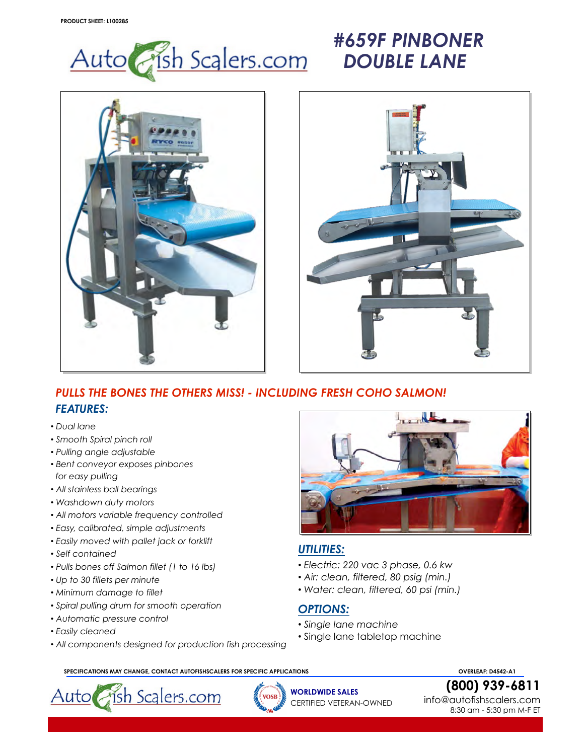

## *#659F PINBONER DOUBLE LANE*





## *PULLS THE BONES THE OTHERS MISS! - INCLUDING FRESH COHO SALMON! FEATURES:*

- *• Dual lane*
- *• Smooth Spiral pinch roll*
- *• Pulling angle adjustable*
- *• Bent conveyor exposes pinbones for easy pulling*
- *• All stainless ball bearings*
- *• Washdown duty motors*
- *• All motors variable frequency controlled*
- *• Easy, calibrated, simple adjustments*
- *• Easily moved with pallet jack or forklift*
- *• Self contained*
- *• Pulls bones off Salmon fillet (1 to 16 lbs)*
- *• Up to 30 fillets per minute*
- *• Minimum damage to fillet*
- *• Spiral pulling drum for smooth operation*
- *• Automatic pressure control*
- *• Easily cleaned*
- *• All components designed for production fish processing*



## *UTILITIES:*

- *• Electric: 220 vac 3 phase, 0.6 kw*
- *• Air: clean, filtered, 80 psig (min.)*
- *• Water: clean, filtered, 60 psi (min.)*

## *OPTIONS:*

- *• Single lane machine*
- *•* Single lane tabletop machine

 **SPECIFICATIONS MAY CHANGE, CONTACT AUTOFISHSCALERS FOR SPECIFIC APPLICATIONS OVERLEAF: D4542-A1**



**WORLDWIDE SALES** CERTIFIED VETERAN-OWNED **[\(800\)](http://www.rycous.com/)[9](http://www.rycous.com/)[39-6](mailto:sales@rycous.com)811**

info@autofishscalers.com 8:30 am - 5:30 pm M-F ET